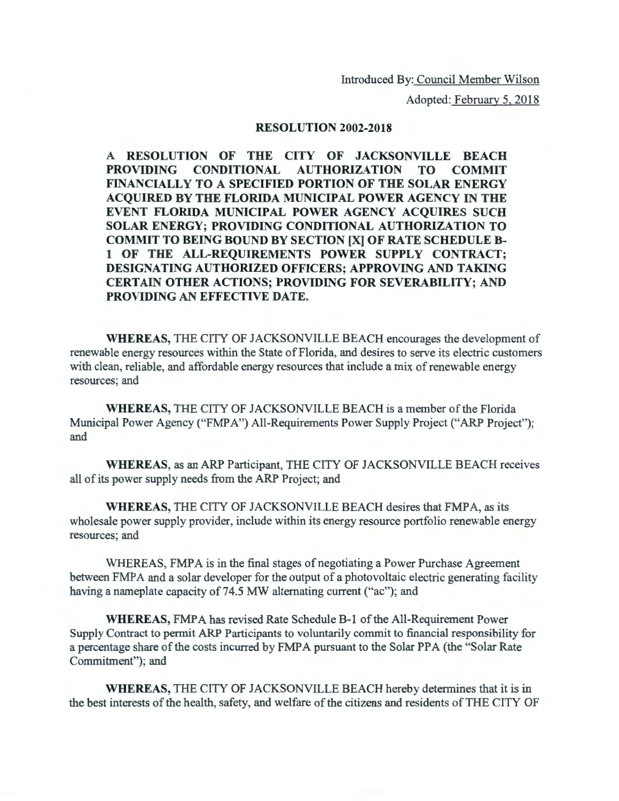Introduced By: Council Member Wilson

Adopted: February 5, 2018

## RESOLUTION 2002-2018

A RESOLUTION OF THE CITY OF JACKSONVILLE BEACH PROVIDING CONDITIONAL AUTHORIZATION TO COMMIT FINANCIALLY TO A SPECIFIED PORTION OF THE SOLAR ENERGY ACQUIRED BY THE FLORIDA MUNICIPAL POWER AGENCY IN THE EVENT FLORIDA MUNICIPAL POWER AGENCY ACQUIRES SUCH SOLAR ENERGY; PROVIDING CONDITIONAL AUTHORIZATION TO COMMIT TO BEING BOUND BY SECTION [X] OF RATE SCHEDULE B-1 OF THE ALL-REQUIREMENTS POWER SUPPLY CONTRACT; DESIGNATING AUTHORIZED OFFICERS; APPROVING AND TAKING CERTAIN OTHER ACTIONS; PROVIDING FOR SEVERABILITY; AND PROVIDING AN EFFECTIVE DATE.

WHEREAS, THE CITY OF JACKSONVILLE BEACH encourages the development of renewable energy resources within the State of Florida, and desires to serve its electric customers with clean, reliable, and affordable energy resources that include a mix of renewable energy resources; and

WHEREAS, THE CITY OF JACKSONVILLE BEACH is a member of the Florida Municipal Power Agency ("FMPA") All-Requirements Power Supply Project ("ARP Project"); and

WHEREAS, as an ARP Participant, THE CITY OF JACKSONVILLE BEACH receives all of its power supply needs from the ARP Project; and

WHEREAS, THE CITY OF JACKSONVILLE BEACH desires that FMPA, as its wholesale power supply provider, include within its energy resource portfolio renewable energy resources; and

WHEREAS, FMPA is in the final stages of negotiating a Power Purchase Agreement between FMPA and a solar developer for the output of a photovoltaic electric generating facility having a nameplate capacity of 74.5 MW alternating current ("ac''); and

WHEREAS, FMPA has revised Rate Schedule B-1 of the All-Requirement Power Supply Contract to permit ARP Participants to voluntarily commit to financial responsibility for a percentage share of the costs incurred by FMPA pursuant to the Solar PPA (the "Solar Rate Commitment"); and

WHEREAS, THE CITY OF JACKSONVILLE BEACH hereby determines that it is in the best interests of the health, safety, and welfare of the citizens and residents of THE CITY OF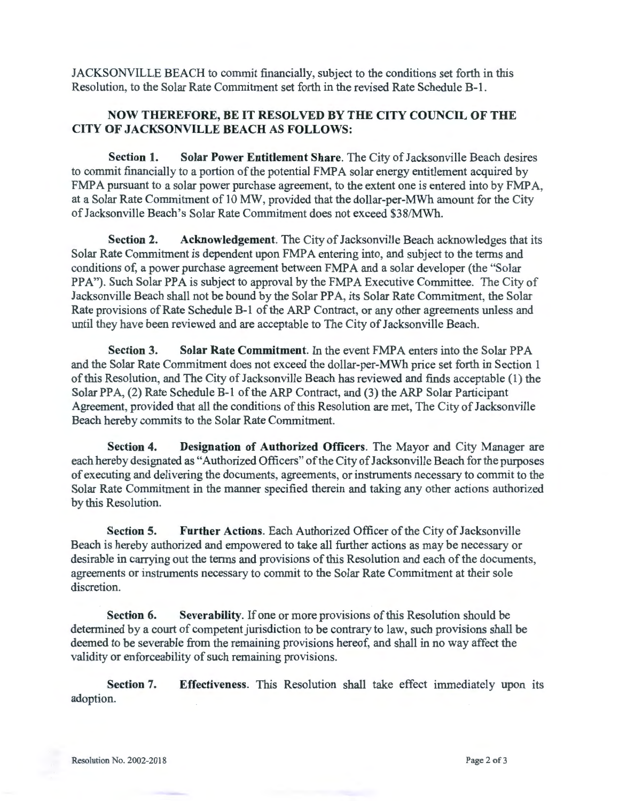JACKSONVILLE BEACH to commit financially, subject to the conditions set forth in this Resolution, to the Solar Rate Commitment set forth in the revised Rate Schedule B-1.

## NOW THEREFORE, BE IT RESOLVED BY THE CITY COUNCIL OF THE CITY OF JACKSONVILLE BEACH AS FOLLOWS:

Section 1. Solar Power Entitlement Share. The City of Jacksonville Beach desires to commit financially to a portion of the potential FMPA solar energy entitlement acquired by FMPA pursuant to a solar power purchase agreement, to the extent one is entered into by FMPA, at a Solar Rate Commitment of 10 MW, provided that the dollar-per-MWh amount for the City of Jacksonville Beach's Solar Rate Commitment does not exceed \$38/MWh.

Section 2. Acknowledgement. The City of Jacksonville Beach acknowledges that its Solar Rate Commitment is dependent upon FMPA entering into, and subject to the terms and conditions of, a power purchase agreement between FMPA and a solar developer (the "Solar PPA"). Such Solar PPA is subject to approval by the FMPA Executive Committee. The City of Jacksonville Beach shall not be bound by the Solar PPA, its Solar Rate Commitment, the Solar Rate provisions of Rate Schedule B-1 of the ARP Contract, or any other agreements unless and until they have been reviewed and are acceptable to The City of Jacksonville Beach.

Section 3. Solar Rate Commitment. In the event FMPA enters into the Solar PPA and the Solar Rate Commitment does not exceed the dollar-per-MWh price set forth in Section 1 of this Resolution, and The City of Jacksonville Beach has reviewed and finds acceptable (1) the Solar PPA, (2) Rate Schedule B-1 of the ARP Contract, and (3) the ARP Solar Participant Agreement, provided that all the conditions of this Resolution are met, The City of Jacksonville Beach hereby commits to the Solar Rate Commitment.

Section 4. Designation of Authorized Officers. The Mayor and City Manager are each hereby designated as "Authorized Officers" of the City of Jacksonville Beach for the purposes of executing and delivering the documents, agreements, or instruments necessary to commit to the Solar Rate Commitment in the manner specified therein and taking any other actions authorized by this Resolution.

Section 5. Further Actions. Each Authorized Officer of the City of Jacksonville Beach is hereby authorized and empowered to take all further actions as may be necessary or desirable in carrying out the terms and provisions of this Resolution and each of the documents, agreements or instruments necessary to commit to the Solar Rate Commitment at their sole discretion.

Section 6. Severability. If one or more provisions of this Resolution should be determined by a court of competent jurisdiction to be contrary to law, such provisions shall be deemed to be severable from the remaining provisions hereof, and shall in no way affect the validity or enforceability of such remaining provisions.

Section 7. Effectiveness. This Resolution shall take effect immediately upon its adoption.